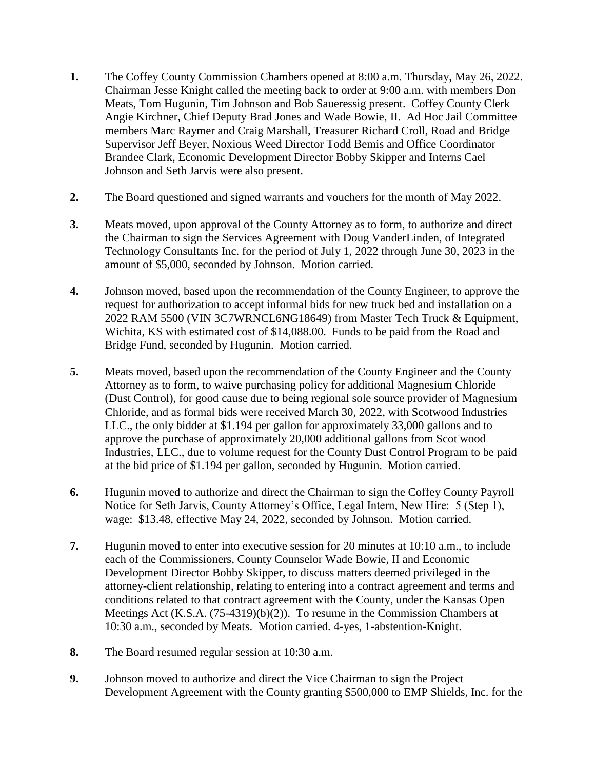- **1.** The Coffey County Commission Chambers opened at 8:00 a.m. Thursday, May 26, 2022. Chairman Jesse Knight called the meeting back to order at 9:00 a.m. with members Don Meats, Tom Hugunin, Tim Johnson and Bob Saueressig present. Coffey County Clerk Angie Kirchner, Chief Deputy Brad Jones and Wade Bowie, II. Ad Hoc Jail Committee members Marc Raymer and Craig Marshall, Treasurer Richard Croll, Road and Bridge Supervisor Jeff Beyer, Noxious Weed Director Todd Bemis and Office Coordinator Brandee Clark, Economic Development Director Bobby Skipper and Interns Cael Johnson and Seth Jarvis were also present.
- **2.** The Board questioned and signed warrants and vouchers for the month of May 2022.
- **3.** Meats moved, upon approval of the County Attorney as to form, to authorize and direct the Chairman to sign the Services Agreement with Doug VanderLinden, of Integrated Technology Consultants Inc. for the period of July 1, 2022 through June 30, 2023 in the amount of \$5,000, seconded by Johnson. Motion carried.
- **4.** Johnson moved, based upon the recommendation of the County Engineer, to approve the request for authorization to accept informal bids for new truck bed and installation on a 2022 RAM 5500 (VIN 3C7WRNCL6NG18649) from Master Tech Truck & Equipment, Wichita, KS with estimated cost of \$14,088.00. Funds to be paid from the Road and Bridge Fund, seconded by Hugunin. Motion carried.
- **5.** Meats moved, based upon the recommendation of the County Engineer and the County Attorney as to form, to waive purchasing policy for additional Magnesium Chloride (Dust Control), for good cause due to being regional sole source provider of Magnesium Chloride, and as formal bids were received March 30, 2022, with Scotwood Industries LLC., the only bidder at \$1.194 per gallon for approximately 33,000 gallons and to approve the purchase of approximately 20,000 additional gallons from Scot-wood Industries, LLC., due to volume request for the County Dust Control Program to be paid at the bid price of \$1.194 per gallon, seconded by Hugunin. Motion carried.
- **6.** Hugunin moved to authorize and direct the Chairman to sign the Coffey County Payroll Notice for Seth Jarvis, County Attorney's Office, Legal Intern, New Hire: 5 (Step 1), wage: \$13.48, effective May 24, 2022, seconded by Johnson. Motion carried.
- **7.** Hugunin moved to enter into executive session for 20 minutes at 10:10 a.m., to include each of the Commissioners, County Counselor Wade Bowie, II and Economic Development Director Bobby Skipper, to discuss matters deemed privileged in the attorney-client relationship, relating to entering into a contract agreement and terms and conditions related to that contract agreement with the County, under the Kansas Open Meetings Act (K.S.A. (75-4319)(b)(2)). To resume in the Commission Chambers at 10:30 a.m., seconded by Meats. Motion carried. 4-yes, 1-abstention-Knight.
- **8.** The Board resumed regular session at 10:30 a.m.
- **9.** Johnson moved to authorize and direct the Vice Chairman to sign the Project Development Agreement with the County granting \$500,000 to EMP Shields, Inc. for the